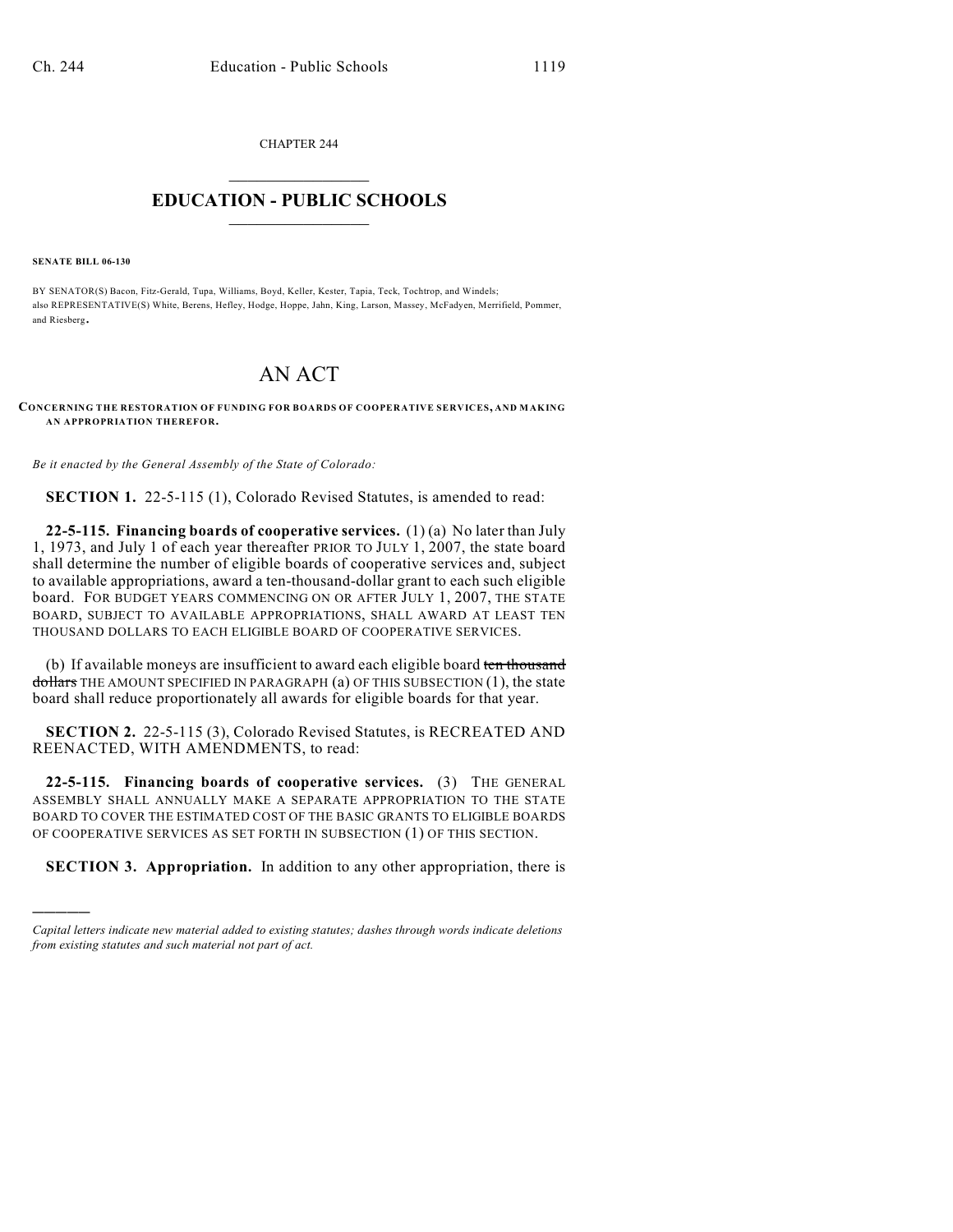CHAPTER 244  $\overline{\phantom{a}}$  . The set of the set of the set of the set of the set of the set of the set of the set of the set of the set of the set of the set of the set of the set of the set of the set of the set of the set of the set o

## **EDUCATION - PUBLIC SCHOOLS**  $\_$   $\_$   $\_$   $\_$   $\_$   $\_$   $\_$   $\_$   $\_$

**SENATE BILL 06-130**

)))))

BY SENATOR(S) Bacon, Fitz-Gerald, Tupa, Williams, Boyd, Keller, Kester, Tapia, Teck, Tochtrop, and Windels; also REPRESENTATIVE(S) White, Berens, Hefley, Hodge, Hoppe, Jahn, King, Larson, Massey, McFadyen, Merrifield, Pommer, and Riesberg.

## AN ACT

**CONCERNING THE RESTORATION OF FUNDING FOR BOARDS OF COOPERATIVE SERVICES, AND MAKING AN APPROPRIATION THEREFOR.**

*Be it enacted by the General Assembly of the State of Colorado:*

**SECTION 1.** 22-5-115 (1), Colorado Revised Statutes, is amended to read:

**22-5-115. Financing boards of cooperative services.** (1) (a) No later than July 1, 1973, and July 1 of each year thereafter PRIOR TO JULY 1, 2007, the state board shall determine the number of eligible boards of cooperative services and, subject to available appropriations, award a ten-thousand-dollar grant to each such eligible board. FOR BUDGET YEARS COMMENCING ON OR AFTER JULY 1, 2007, THE STATE BOARD, SUBJECT TO AVAILABLE APPROPRIATIONS, SHALL AWARD AT LEAST TEN THOUSAND DOLLARS TO EACH ELIGIBLE BOARD OF COOPERATIVE SERVICES.

(b) If available moneys are insufficient to award each eligible board ten thousand dollars THE AMOUNT SPECIFIED IN PARAGRAPH (a) OF THIS SUBSECTION (1), the state board shall reduce proportionately all awards for eligible boards for that year.

**SECTION 2.** 22-5-115 (3), Colorado Revised Statutes, is RECREATED AND REENACTED, WITH AMENDMENTS, to read:

**22-5-115. Financing boards of cooperative services.** (3) THE GENERAL ASSEMBLY SHALL ANNUALLY MAKE A SEPARATE APPROPRIATION TO THE STATE BOARD TO COVER THE ESTIMATED COST OF THE BASIC GRANTS TO ELIGIBLE BOARDS OF COOPERATIVE SERVICES AS SET FORTH IN SUBSECTION (1) OF THIS SECTION.

**SECTION 3. Appropriation.** In addition to any other appropriation, there is

*Capital letters indicate new material added to existing statutes; dashes through words indicate deletions from existing statutes and such material not part of act.*